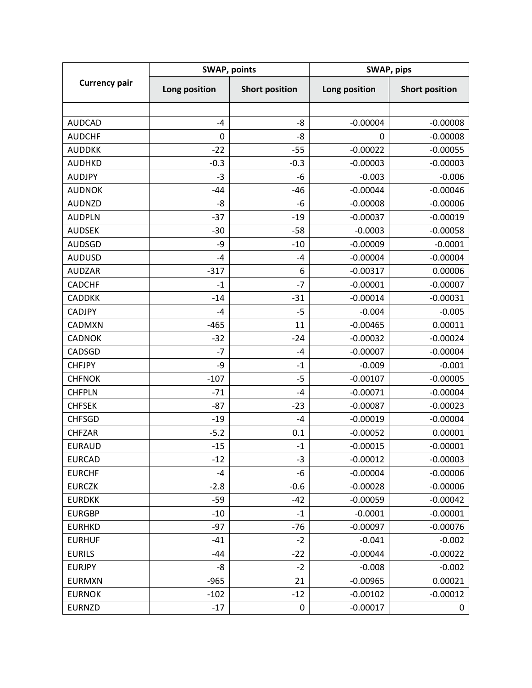| <b>Currency pair</b> | <b>SWAP, points</b> |                       | SWAP, pips    |                       |
|----------------------|---------------------|-----------------------|---------------|-----------------------|
|                      | Long position       | <b>Short position</b> | Long position | <b>Short position</b> |
|                      |                     |                       |               |                       |
| <b>AUDCAD</b>        | $-4$                | $-8$                  | $-0.00004$    | $-0.00008$            |
| <b>AUDCHF</b>        | $\mathbf 0$         | -8                    | 0             | $-0.00008$            |
| <b>AUDDKK</b>        | $-22$               | $-55$                 | $-0.00022$    | $-0.00055$            |
| <b>AUDHKD</b>        | $-0.3$              | $-0.3$                | $-0.00003$    | $-0.00003$            |
| <b>AUDJPY</b>        | $-3$                | $-6$                  | $-0.003$      | $-0.006$              |
| <b>AUDNOK</b>        | $-44$               | $-46$                 | $-0.00044$    | $-0.00046$            |
| <b>AUDNZD</b>        | -8                  | -6                    | $-0.00008$    | $-0.00006$            |
| <b>AUDPLN</b>        | $-37$               | $-19$                 | $-0.00037$    | $-0.00019$            |
| <b>AUDSEK</b>        | $-30$               | $-58$                 | $-0.0003$     | $-0.00058$            |
| <b>AUDSGD</b>        | -9                  | $-10$                 | $-0.00009$    | $-0.0001$             |
| <b>AUDUSD</b>        | $-4$                | $-4$                  | $-0.00004$    | $-0.00004$            |
| <b>AUDZAR</b>        | $-317$              | 6                     | $-0.00317$    | 0.00006               |
| <b>CADCHF</b>        | $-1$                | $-7$                  | $-0.00001$    | $-0.00007$            |
| <b>CADDKK</b>        | $-14$               | $-31$                 | $-0.00014$    | $-0.00031$            |
| <b>CADJPY</b>        | $-4$                | $-5$                  | $-0.004$      | $-0.005$              |
| CADMXN               | $-465$              | 11                    | $-0.00465$    | 0.00011               |
| <b>CADNOK</b>        | $-32$               | $-24$                 | $-0.00032$    | $-0.00024$            |
| CADSGD               | $-7$                | $-4$                  | $-0.00007$    | $-0.00004$            |
| <b>CHFJPY</b>        | -9                  | $-1$                  | $-0.009$      | $-0.001$              |
| <b>CHFNOK</b>        | $-107$              | $-5$                  | $-0.00107$    | $-0.00005$            |
| <b>CHFPLN</b>        | $-71$               | $-4$                  | $-0.00071$    | $-0.00004$            |
| <b>CHFSEK</b>        | $-87$               | $-23$                 | $-0.00087$    | $-0.00023$            |
| <b>CHFSGD</b>        | $-19$               | $-4$                  | $-0.00019$    | $-0.00004$            |
| <b>CHFZAR</b>        | $-5.2$              | 0.1                   | $-0.00052$    | 0.00001               |
| <b>EURAUD</b>        | $-15$               | $-1$                  | $-0.00015$    | $-0.00001$            |
| <b>EURCAD</b>        | $-12$               | $-3$                  | $-0.00012$    | $-0.00003$            |
| <b>EURCHF</b>        | $-4$                | -6                    | $-0.00004$    | $-0.00006$            |
| <b>EURCZK</b>        | $-2.8$              | $-0.6$                | $-0.00028$    | $-0.00006$            |
| <b>EURDKK</b>        | $-59$               | $-42$                 | $-0.00059$    | $-0.00042$            |
| <b>EURGBP</b>        | $-10$               | $-1$                  | $-0.0001$     | $-0.00001$            |
| <b>EURHKD</b>        | $-97$               | $-76$                 | $-0.00097$    | $-0.00076$            |
| <b>EURHUF</b>        | $-41$               | $-2$                  | $-0.041$      | $-0.002$              |
| <b>EURILS</b>        | -44                 | $-22$                 | $-0.00044$    | $-0.00022$            |
| <b>EURJPY</b>        | -8                  | $-2$                  | $-0.008$      | $-0.002$              |
| <b>EURMXN</b>        | $-965$              | 21                    | $-0.00965$    | 0.00021               |
| <b>EURNOK</b>        | $-102$              | $-12$                 | $-0.00102$    | $-0.00012$            |
| <b>EURNZD</b>        | $-17$               | 0                     | $-0.00017$    | 0                     |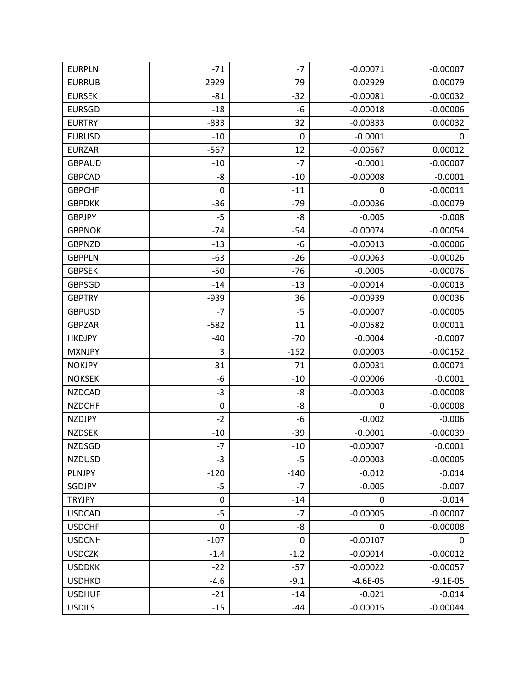| <b>EURPLN</b> | $-71$       | $-7$        | $-0.00071$ | $-0.00007$ |
|---------------|-------------|-------------|------------|------------|
| <b>EURRUB</b> | $-2929$     | 79          | $-0.02929$ | 0.00079    |
| <b>EURSEK</b> | $-81$       | $-32$       | $-0.00081$ | $-0.00032$ |
| <b>EURSGD</b> | $-18$       | -6          | $-0.00018$ | $-0.00006$ |
| <b>EURTRY</b> | $-833$      | 32          | $-0.00833$ | 0.00032    |
| <b>EURUSD</b> | $-10$       | 0           | $-0.0001$  | 0          |
| <b>EURZAR</b> | $-567$      | 12          | $-0.00567$ | 0.00012    |
| <b>GBPAUD</b> | $-10$       | $-7$        | $-0.0001$  | $-0.00007$ |
| <b>GBPCAD</b> | -8          | $-10$       | $-0.00008$ | $-0.0001$  |
| <b>GBPCHF</b> | $\mathbf 0$ | $-11$       | 0          | $-0.00011$ |
| <b>GBPDKK</b> | $-36$       | $-79$       | $-0.00036$ | $-0.00079$ |
| <b>GBPJPY</b> | $-5$        | $-8$        | $-0.005$   | $-0.008$   |
| <b>GBPNOK</b> | $-74$       | $-54$       | $-0.00074$ | $-0.00054$ |
| <b>GBPNZD</b> | $-13$       | -6          | $-0.00013$ | $-0.00006$ |
| <b>GBPPLN</b> | $-63$       | $-26$       | $-0.00063$ | $-0.00026$ |
| <b>GBPSEK</b> | $-50$       | $-76$       | $-0.0005$  | $-0.00076$ |
| <b>GBPSGD</b> | $-14$       | $-13$       | $-0.00014$ | $-0.00013$ |
| <b>GBPTRY</b> | $-939$      | 36          | $-0.00939$ | 0.00036    |
| <b>GBPUSD</b> | $-7$        | $-5$        | $-0.00007$ | $-0.00005$ |
| <b>GBPZAR</b> | $-582$      | 11          | $-0.00582$ | 0.00011    |
| <b>HKDJPY</b> | $-40$       | $-70$       | $-0.0004$  | $-0.0007$  |
| <b>MXNJPY</b> | 3           | $-152$      | 0.00003    | $-0.00152$ |
| <b>NOKJPY</b> | $-31$       | $-71$       | $-0.00031$ | $-0.00071$ |
| <b>NOKSEK</b> | -6          | $-10$       | $-0.00006$ | $-0.0001$  |
| <b>NZDCAD</b> | $-3$        | -8          | $-0.00003$ | $-0.00008$ |
| <b>NZDCHF</b> | $\pmb{0}$   | -8          | 0          | $-0.00008$ |
| <b>NZDJPY</b> | $-2$        | -6          | $-0.002$   | $-0.006$   |
| <b>NZDSEK</b> | $-10$       | $-39$       | $-0.0001$  | $-0.00039$ |
| <b>NZDSGD</b> | $-7$        | $-10$       | $-0.00007$ | $-0.0001$  |
| <b>NZDUSD</b> | $-3$        | $-5$        | $-0.00003$ | $-0.00005$ |
| PLNJPY        | $-120$      | $-140$      | $-0.012$   | $-0.014$   |
| SGDJPY        | $-5$        | $-7$        | $-0.005$   | $-0.007$   |
| <b>TRYJPY</b> | 0           | $-14$       | 0          | $-0.014$   |
| <b>USDCAD</b> | $-5$        | $-7$        | $-0.00005$ | $-0.00007$ |
| <b>USDCHF</b> | 0           | -8          | 0          | $-0.00008$ |
| <b>USDCNH</b> | $-107$      | $\mathbf 0$ | $-0.00107$ | 0          |
| <b>USDCZK</b> | $-1.4$      | $-1.2$      | $-0.00014$ | $-0.00012$ |
| <b>USDDKK</b> | $-22$       | $-57$       | $-0.00022$ | $-0.00057$ |
| <b>USDHKD</b> | $-4.6$      | $-9.1$      | $-4.6E-05$ | $-9.1E-05$ |
| <b>USDHUF</b> | $-21$       | $-14$       | $-0.021$   | $-0.014$   |
| <b>USDILS</b> | $-15$       | $-44$       | $-0.00015$ | $-0.00044$ |